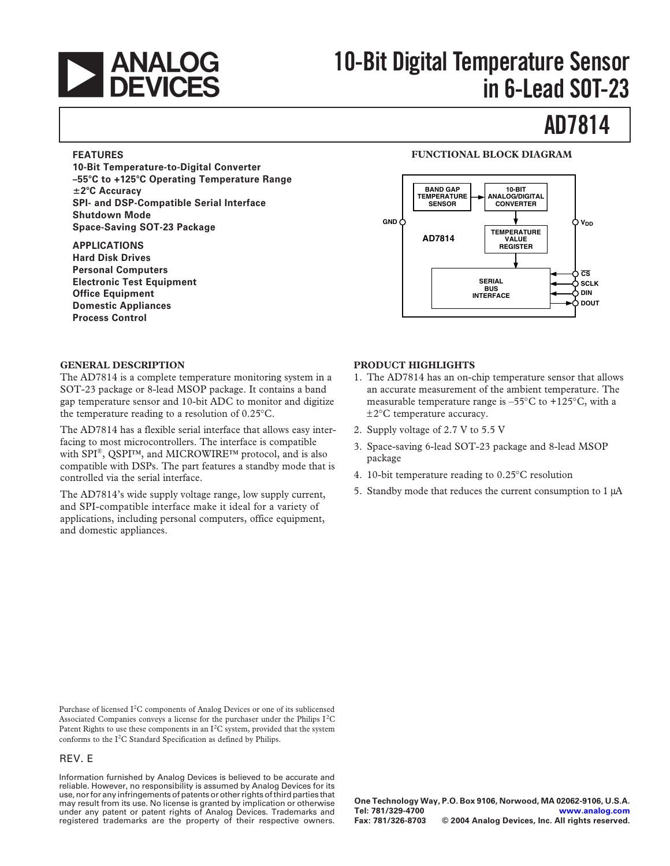

# **10-Bit Digital Temperature Sensor in 6-Lead SOT-23**

# **AD7814**

#### **FEATURES**

**10-Bit Temperature-to-Digital Converter –55C to +125C Operating Temperature Range** -**2C Accuracy SPI- and DSP-Compatible Serial Interface Shutdown Mode Space-Saving SOT-23 Package**

#### **APPLICATIONS**

**Hard Disk Drives Personal Computers Electronic Test Equipment Office Equipment Domestic Appliances Process Control**

#### **FUNCTIONAL BLOCK DIAGRAM**



#### **GENERAL DESCRIPTION**

The AD7814 is a complete temperature monitoring system in a SOT-23 package or 8-lead MSOP package. It contains a band gap temperature sensor and 10-bit ADC to monitor and digitize the temperature reading to a resolution of 0.25°C.

The AD7814 has a flexible serial interface that allows easy interfacing to most microcontrollers. The interface is compatible with SPI®, QSPI™, and MICROWIRE™ protocol, and is also compatible with DSPs. The part features a standby mode that is controlled via the serial interface.

The AD7814's wide supply voltage range, low supply current, and SPI-compatible interface make it ideal for a variety of applications, including personal computers, office equipment, and domestic appliances.

#### **PRODUCT HIGHLIGHTS**

- 1. The AD7814 has an on-chip temperature sensor that allows an accurate measurement of the ambient temperature. The measurable temperature range is  $-55^{\circ}$ C to  $+125^{\circ}$ C, with a ±2°C temperature accuracy.
- 2. Supply voltage of 2.7 V to 5.5 V
- 3. Space-saving 6-lead SOT-23 package and 8-lead MSOP package
- 4. 10-bit temperature reading to 0.25°C resolution
- 5. Standby mode that reduces the current consumption to 1 µA

Purchase of licensed I<sup>2</sup>C components of Analog Devices or one of its sublicensed Associated Companies conveys a license for the purchaser under the Philips  $I^2C$ Patent Rights to use these components in an  $I^2C$  system, provided that the system conforms to the  $I<sup>2</sup>C$  Standard Specification as defined by Philips.

#### REV. E

Information furnished by Analog Devices is believed to be accurate and reliable. However, no responsibility is assumed by Analog Devices for its use, nor for any infringements of patents or other rights of third parties that may result from its use. No license is granted by implication or otherwise under any patent or patent rights of Analog Devices. Trademarks and registered trademarks are the property of their respective owners.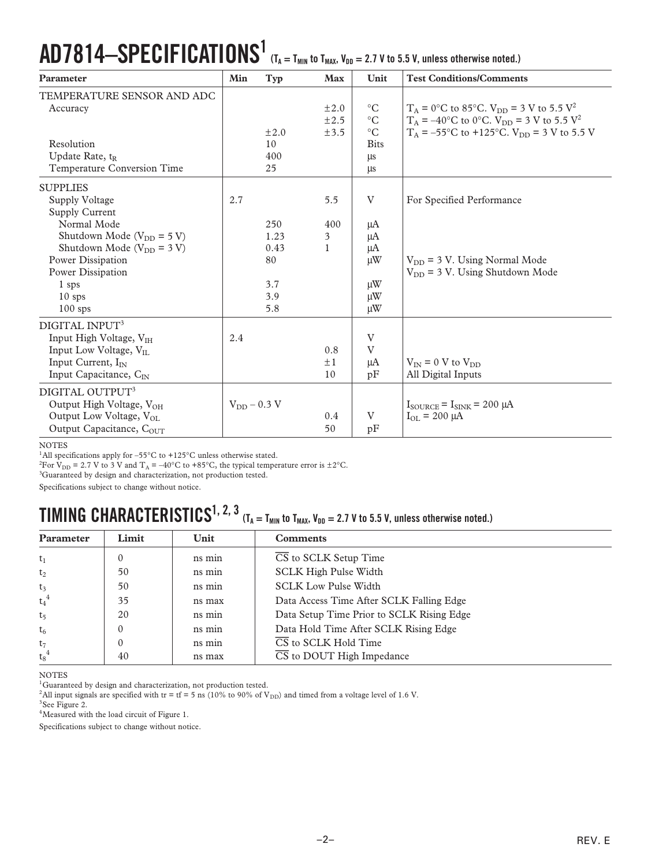# $\mathbf{AD7814}\text{---} \mathbf{SPECIFICATIONS}^1$  (T<sub>A</sub> = T<sub>MIN</sub> to T<sub>MAX</sub>, V<sub>DD</sub> = 2.7 V to 5.5 V, unless otherwise noted.)

| Parameter                            | Min              | Typ       | Max       | Unit            | <b>Test Conditions/Comments</b>                                    |
|--------------------------------------|------------------|-----------|-----------|-----------------|--------------------------------------------------------------------|
| TEMPERATURE SENSOR AND ADC           |                  |           |           |                 |                                                                    |
| Accuracy                             |                  |           | $\pm 2.0$ | $\rm ^{\circ}C$ | $T_A = 0$ °C to 85°C. $V_{DD} = 3$ V to 5.5 V <sup>2</sup>         |
|                                      |                  |           | ±2.5      | $\rm ^{\circ}C$ | $T_A = -40$ °C to 0°C. V <sub>DD</sub> = 3 V to 5.5 V <sup>2</sup> |
|                                      |                  | $\pm 2.0$ | ±3.5      | $\circ$ C       | $T_A = -55^{\circ}$ C to +125°C. V <sub>DD</sub> = 3 V to 5.5 V    |
| Resolution                           |                  | 10        |           | <b>Bits</b>     |                                                                    |
| Update Rate, t <sub>R</sub>          |                  | 400       |           | $\mu s$         |                                                                    |
| Temperature Conversion Time          |                  | 25        |           | $\mu s$         |                                                                    |
| <b>SUPPLIES</b>                      |                  |           |           |                 |                                                                    |
| Supply Voltage                       | 2.7              |           | 5.5       | V               | For Specified Performance                                          |
| Supply Current                       |                  |           |           |                 |                                                                    |
| Normal Mode                          |                  | 250       | 400       | μA              |                                                                    |
| Shutdown Mode ( $V_{DD} = 5 V$ )     |                  | 1.23      | 3         | $\mu A$         |                                                                    |
| Shutdown Mode ( $V_{DD} = 3 V$ )     |                  | 0.43      | 1         | μA              |                                                                    |
| Power Dissipation                    |                  | 80        |           | $\mu$ W         | $V_{DD}$ = 3 V. Using Normal Mode                                  |
| Power Dissipation                    |                  |           |           |                 | $V_{DD}$ = 3 V. Using Shutdown Mode                                |
| 1 sps                                |                  | 3.7       |           | $\mu$ W         |                                                                    |
| $10$ sps                             |                  | 3.9       |           | $\mu$ W         |                                                                    |
| $100$ sps                            |                  | 5.8       |           | $\mu$ W         |                                                                    |
| DIGITAL INPUT <sup>3</sup>           |                  |           |           |                 |                                                                    |
| Input High Voltage, VIH              | 2.4              |           |           | V               |                                                                    |
| Input Low Voltage, $V_{II}$          |                  |           | 0.8       | V               |                                                                    |
| Input Current, I <sub>IN</sub>       |                  |           | $\pm 1$   | μA              | $V_{IN}$ = 0 V to $V_{DD}$                                         |
| Input Capacitance, C <sub>IN</sub>   |                  |           | 10        | pF              | All Digital Inputs                                                 |
| DIGITAL OUTPUT <sup>3</sup>          |                  |           |           |                 |                                                                    |
| Output High Voltage, VOH             | $V_{DD}$ – 0.3 V |           |           |                 | $I_{\text{SOLRCE}} = I_{\text{SINK}} = 200 \mu A$                  |
| Output Low Voltage, V <sub>OL</sub>  |                  |           | 0.4       | V               | $I_{OL} = 200 \mu A$                                               |
| Output Capacitance, $C_{\text{OUT}}$ |                  |           | 50        | pF              |                                                                    |

#### NOTES

<sup>1</sup>All specifications apply for –55 $^{\circ}$ C to +125 $^{\circ}$ C unless otherwise stated.

<sup>2</sup>For V<sub>DD</sub> = 2.7 V to 3 V and T<sub>A</sub> = -40°C to +85°C, the typical temperature error is  $\pm 2^{\circ}$ C.

<sup>3</sup>Guaranteed by design and characterization, not production tested.

Specifications subject to change without notice.

## $\bf{TIMING}$   $\bf{CHARACTERISTICS}^{1, 2, 3}$  (T<sub>A</sub> = T<sub>MIN</sub> to T<sub>MAX</sub>, V<sub>DD</sub> = 2.7 V to 5.5 V, unless otherwise noted.)

| Parameter      | Limit    | Unit   | <b>Comments</b>                               |
|----------------|----------|--------|-----------------------------------------------|
| $t_1$          | $\theta$ | ns min | $\overline{\text{CS}}$ to SCLK Setup Time     |
| t <sub>2</sub> | 50       | ns min | <b>SCLK High Pulse Width</b>                  |
| $t_3$          | 50       | ns min | <b>SCLK Low Pulse Width</b>                   |
| $t_4^4$        | 35       | ns max | Data Access Time After SCLK Falling Edge      |
| t <sub>5</sub> | 20       | ns min | Data Setup Time Prior to SCLK Rising Edge     |
| $t_6$          |          | ns min | Data Hold Time After SCLK Rising Edge         |
| t <sub>7</sub> | $\theta$ | ns min | $\overline{\text{CS}}$ to SCLK Hold Time      |
| $t_8^4$        | 40       | ns max | $\overline{\text{CS}}$ to DOUT High Impedance |

NOTES

 $^{\rm l}$  Guaranteed by design and characterization, not production tested.

<sup>2</sup>All input signals are specified with tr = tf = 5 ns (10% to 90% of V<sub>DD</sub>) and timed from a voltage level of 1.6 V.

<sup>3</sup>See Figure 2.

4Measured with the load circuit of Figure 1.

Specifications subject to change without notice.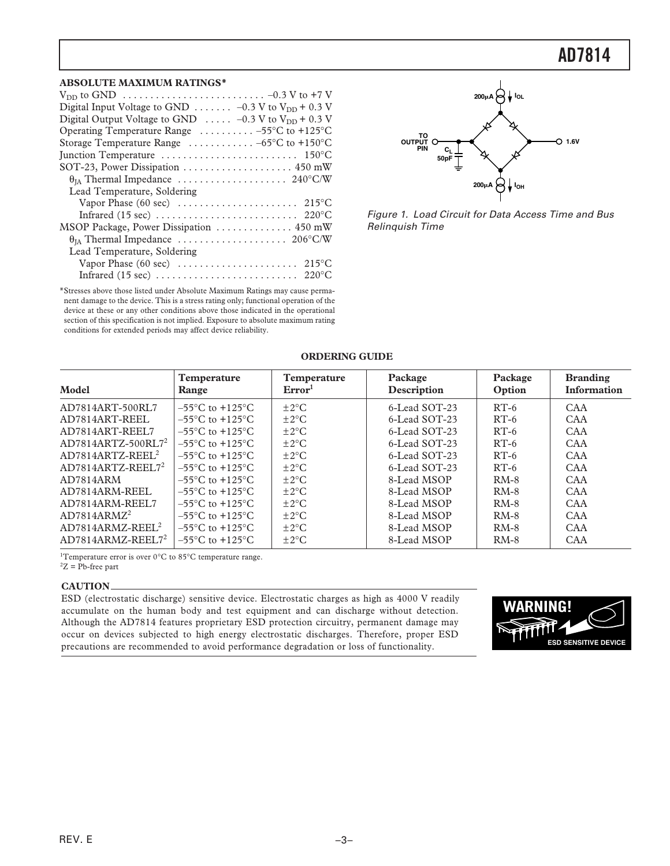### **AD7814**

#### **ABSOLUTE MAXIMUM RATINGS\***

\*Stresses above those listed under Absolute Maximum Ratings may cause permanent damage to the device. This is a stress rating only; functional operation of the device at these or any other conditions above those indicated in the operational section of this specification is not implied. Exposure to absolute maximum rating conditions for extended periods may affect device reliability.



Figure 1. Load Circuit for Data Access Time and Bus Relinquish Time

| Model                          | Temperature<br>Range                 | <b>Temperature</b><br>Error <sup>1</sup> | Package<br>Description | Package<br>Option | <b>Branding</b><br><b>Information</b> |
|--------------------------------|--------------------------------------|------------------------------------------|------------------------|-------------------|---------------------------------------|
| AD7814ART-500RL7               | $-55^{\circ}$ C to $+125^{\circ}$ C  | $\pm 2^{\circ}$ C                        | 6-Lead SOT-23          | $RT-6$            | CAA                                   |
| AD7814ART-REEL                 | $-55^{\circ}$ C to $+125^{\circ}$ C  | $\pm 2^{\circ}$ C                        | 6-Lead SOT-23          | $RT-6$            | <b>CAA</b>                            |
| AD7814ART-REEL7                | $-55^{\circ}$ C to $+125^{\circ}$ C  | $\pm 2^{\circ}$ C                        | 6-Lead SOT-23          | $RT-6$            | <b>CAA</b>                            |
| AD7814ARTZ-500RL7 <sup>2</sup> | $-55^{\circ}$ C to $+125^{\circ}$ C. | $\pm 2^{\circ}$ C                        | 6-Lead SOT-23          | $RT-6$            | <b>CAA</b>                            |
| $AD7814ARTZ-REEL2$             | $-55^{\circ}$ C to $+125^{\circ}$ C  | $\pm 2^{\circ}$ C                        | 6-Lead SOT-23          | $RT-6$            | CAA                                   |
| $AD7814ARTZ-REFL.72$           | $-55^{\circ}$ C to $+125^{\circ}$ C  | $\pm 2^{\circ}$ C                        | 6-Lead SOT-23          | $RT-6$            | CAA                                   |
| AD7814ARM                      | $-55^{\circ}$ C to $+125^{\circ}$ C. | $+2$ °C                                  | 8-Lead MSOP            | $RM-8$            | CAA                                   |
| AD7814ARM-REEL                 | $-55^{\circ}$ C to $+125^{\circ}$ C  | $\pm 2^{\circ}$ C                        | 8-Lead MSOP            | $RM-8$            | <b>CAA</b>                            |
| AD7814ARM-REEL7                | $-55^{\circ}$ C to $+125^{\circ}$ C  | $\pm 2^{\circ}$ C                        | 8-Lead MSOP            | $RM-8$            | CAA                                   |
| AD7814ARMZ <sup>2</sup>        | $-55^{\circ}$ C to $+125^{\circ}$ C  | $\pm 2^{\circ}$ C                        | 8-Lead MSOP            | $RM-8$            | CAA                                   |
| $AD7814ARMZ-REEL2$             | $-55^{\circ}$ C to $+125^{\circ}$ C  | $\pm 2^{\circ}$ C                        | 8-Lead MSOP            | $RM-8$            | CAA                                   |
| $AD7814ARMZ-REEL72$            | $-55^{\circ}$ C to $+125^{\circ}$ C  | $\pm 2^{\circ}$ C                        | 8-Lead MSOP            | $RM-8$            | <b>CAA</b>                            |

#### **ORDERING GUIDE**

<sup>1</sup>Temperature error is over 0°C to 85°C temperature range.  ${}^{2}Z$  = Pb-free part

#### **CAUTION**

ESD (electrostatic discharge) sensitive device. Electrostatic charges as high as 4000 V readily accumulate on the human body and test equipment and can discharge without detection. Although the AD7814 features proprietary ESD protection circuitry, permanent damage may occur on devices subjected to high energy electrostatic discharges. Therefore, proper ESD precautions are recommended to avoid performance degradation or loss of functionality.

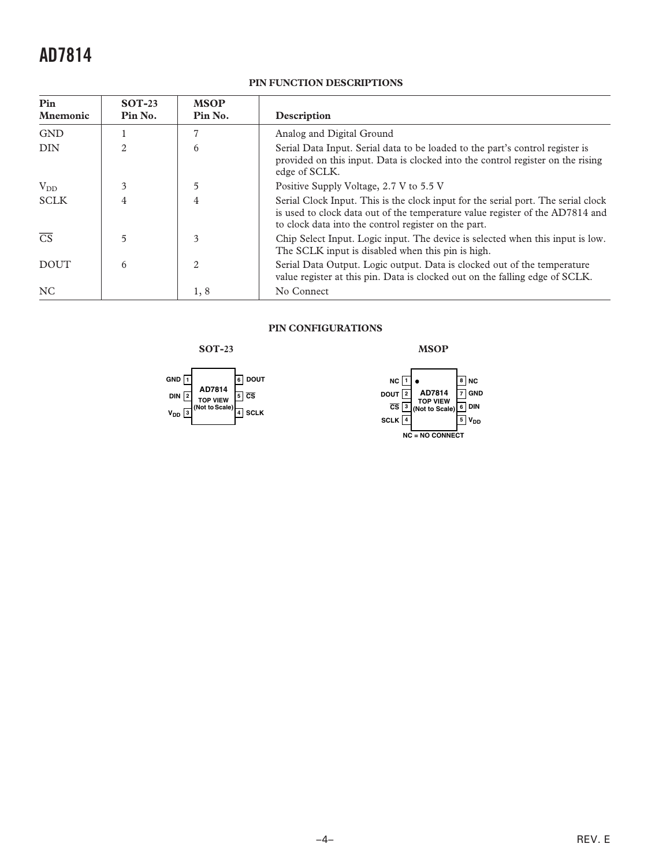## **AD7814**

#### **PIN FUNCTION DESCRIPTIONS**

| Pin<br><b>Mnemonic</b> | $SOT-23$<br>Pin No. | <b>MSOP</b><br>Pin No. | Description                                                                                                                                                                                                                |
|------------------------|---------------------|------------------------|----------------------------------------------------------------------------------------------------------------------------------------------------------------------------------------------------------------------------|
| <b>GND</b>             |                     | ד                      | Analog and Digital Ground                                                                                                                                                                                                  |
| <b>DIN</b>             | $\mathfrak{D}$      | 6                      | Serial Data Input. Serial data to be loaded to the part's control register is<br>provided on this input. Data is clocked into the control register on the rising<br>edge of SCLK.                                          |
| $V_{DD}$               | 3                   | 5                      | Positive Supply Voltage, 2.7 V to 5.5 V                                                                                                                                                                                    |
| <b>SCLK</b>            | 4                   | 4                      | Serial Clock Input. This is the clock input for the serial port. The serial clock<br>is used to clock data out of the temperature value register of the AD7814 and<br>to clock data into the control register on the part. |
| $\overline{\text{CS}}$ | 5                   | 3                      | Chip Select Input. Logic input. The device is selected when this input is low.<br>The SCLK input is disabled when this pin is high.                                                                                        |
| <b>DOUT</b>            | 6                   | 2                      | Serial Data Output. Logic output. Data is clocked out of the temperature<br>value register at this pin. Data is clocked out on the falling edge of SCLK.                                                                   |
| <b>NC</b>              |                     | 1,8                    | No Connect                                                                                                                                                                                                                 |

#### **PIN CONFIGURATIONS**

**SOT-23**





**MSOP**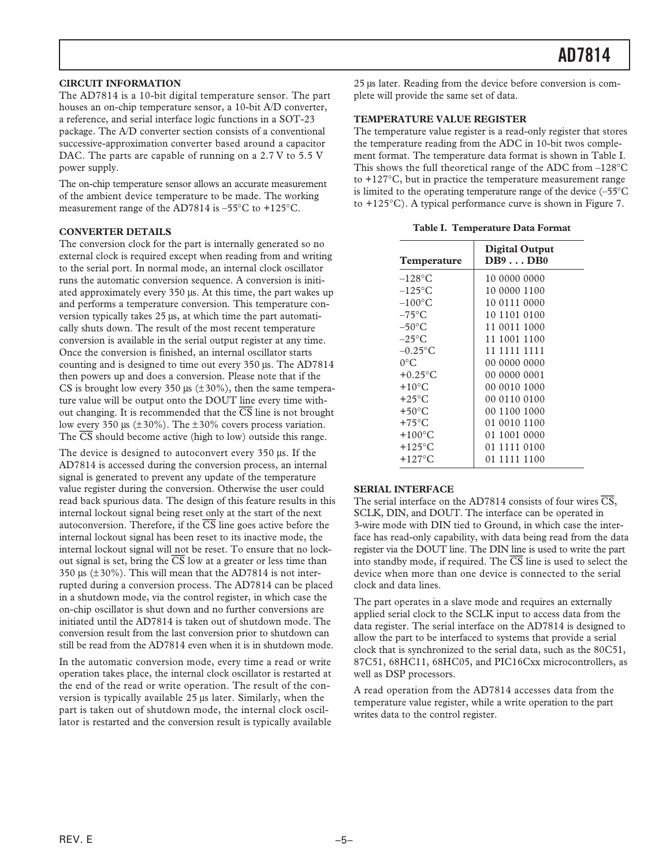#### **CIRCUIT INFORMATION**

The AD7814 is a 10-bit digital temperature sensor. The part houses an on-chip temperature sensor, a 10-bit A/D converter, a reference, and serial interface logic functions in a SOT-23 package. The A/D converter section consists of a conventional successive-approximation converter based around a capacitor DAC. The parts are capable of running on a 2.7 V to 5.5 V power supply.

The on-chip temperature sensor allows an accurate measurement of the ambient device temperature to be made. The working measurement range of the AD7814 is –55°C to +125°C.

#### **CONVERTER DETAILS**

The conversion clock for the part is internally generated so no external clock is required except when reading from and writing to the serial port. In normal mode, an internal clock oscillator runs the automatic conversion sequence. A conversion is initiated approximately every 350 µs. At this time, the part wakes up and performs a temperature conversion. This temperature conversion typically takes 25 µs, at which time the part automatically shuts down. The result of the most recent temperature conversion is available in the serial output register at any time. Once the conversion is finished, an internal oscillator starts counting and is designed to time out every 350 µs. The AD7814 then powers up and does a conversion. Please note that if the CS is brought low every 350  $\mu$ s ( $\pm$ 30%), then the same temperature value will be output onto the DOUT line every time without changing. It is recommended that the *CS* line is not brought low every 350 us  $(\pm 30\%)$ . The  $\pm 30\%$  covers process variation. The *CS* should become active (high to low) outside this range.

The device is designed to autoconvert every 350 µs. If the AD7814 is accessed during the conversion process, an internal signal is generated to prevent any update of the temperature value register during the conversion. Otherwise the user could read back spurious data. The design of this feature results in this internal lockout signal being reset only at the start of the next autoconversion. Therefore, if the  $\overline{CS}$  line goes active before the internal lockout signal has been reset to its inactive mode, the internal lockout signal will not be reset. To ensure that no lockout signal is set, bring the  $\overline{CS}$  low at a greater or less time than 350  $\mu$ s ( $\pm$ 30%). This will mean that the AD7814 is not interrupted during a conversion process. The AD7814 can be placed in a shutdown mode, via the control register, in which case the on-chip oscillator is shut down and no further conversions are initiated until the AD7814 is taken out of shutdown mode. The conversion result from the last conversion prior to shutdown can still be read from the AD7814 even when it is in shutdown mode.

In the automatic conversion mode, every time a read or write operation takes place, the internal clock oscillator is restarted at the end of the read or write operation. The result of the conversion is typically available 25 µs later. Similarly, when the part is taken out of shutdown mode, the internal clock oscillator is restarted and the conversion result is typically available

25 µs later. Reading from the device before conversion is complete will provide the same set of data.

#### **TEMPERATURE VALUE REGISTER**

The temperature value register is a read-only register that stores the temperature reading from the ADC in 10-bit twos complement format. The temperature data format is shown in Table I. This shows the full theoretical range of the ADC from –128°C to  $+127^{\circ}$ C, but in practice the temperature measurement range is limited to the operating temperature range of the device (–55°C to +125°C). A typical performance curve is shown in Figure 7.

**Table I. Temperature Data Format**

| Temperature         | <b>Digital Output</b><br>DB9DB0 |
|---------------------|---------------------------------|
| $-128$ °C           | 10 0000 0000                    |
| $-125\textdegree C$ | 10 0000 1100                    |
| $-100^{\circ}$ C    | 10 0111 0000                    |
| $-75^{\circ}$ C     | 10 1101 0100                    |
| $-50^{\circ}$ C     | 11 0011 1000                    |
| $-25^{\circ}$ C     | 11 1001 1100                    |
| $-0.25$ °C          | 11 1111 1111                    |
| $0^{\circ}$ C       | 00 0000 0000                    |
| $+0.25$ °C          | 00 0000 0001                    |
| $+10^{\circ}$ C     | 00 0010 1000                    |
| $+25^{\circ}$ C     | 00 0110 0100                    |
| $+50^{\circ}$ C     | 00 1100 1000                    |
| $+75^{\circ}$ C     | 01 0010 1100                    |
| $+100^{\circ}$ C    | 01 1001 0000                    |
| $+125\textdegree C$ | 01 1111 0100                    |
| $+127^{\circ}$ C    | 01 1111 1100                    |

#### **SERIAL INTERFACE**

The serial interface on the AD7814 consists of four wires *CS*, SCLK, DIN, and DOUT. The interface can be operated in 3-wire mode with DIN tied to Ground, in which case the interface has read-only capability, with data being read from the data register via the DOUT line. The DIN line is used to write the part into standby mode, if required. The *CS* line is used to select the device when more than one device is connected to the serial clock and data lines.

The part operates in a slave mode and requires an externally applied serial clock to the SCLK input to access data from the data register. The serial interface on the AD7814 is designed to allow the part to be interfaced to systems that provide a serial clock that is synchronized to the serial data, such as the 80C51, 87C51, 68HC11, 68HC05, and PIC16Cxx microcontrollers, as well as DSP processors.

A read operation from the AD7814 accesses data from the temperature value register, while a write operation to the part writes data to the control register.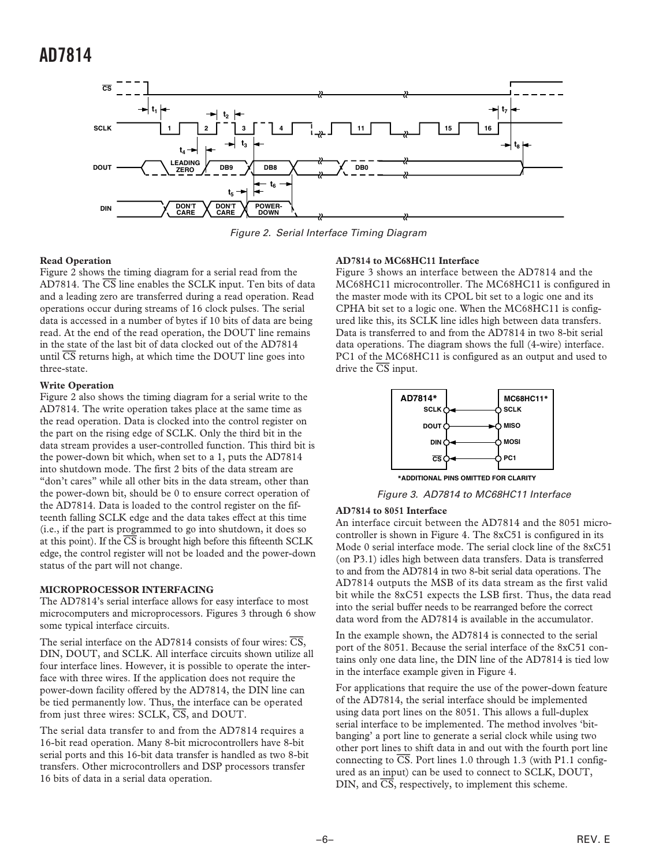

Figure 2. Serial Interface Timing Diagram

#### **Read Operation**

Figure 2 shows the timing diagram for a serial read from the AD7814. The *CS* line enables the SCLK input. Ten bits of data and a leading zero are transferred during a read operation. Read operations occur during streams of 16 clock pulses. The serial data is accessed in a number of bytes if 10 bits of data are being read. At the end of the read operation, the DOUT line remains in the state of the last bit of data clocked out of the AD7814 until *CS* returns high, at which time the DOUT line goes into three-state.

#### **Write Operation**

Figure 2 also shows the timing diagram for a serial write to the AD7814. The write operation takes place at the same time as the read operation. Data is clocked into the control register on the part on the rising edge of SCLK. Only the third bit in the data stream provides a user-controlled function. This third bit is the power-down bit which, when set to a 1, puts the AD7814 into shutdown mode. The first 2 bits of the data stream are "don't cares" while all other bits in the data stream, other than the power-down bit, should be 0 to ensure correct operation of the AD7814. Data is loaded to the control register on the fifteenth falling SCLK edge and the data takes effect at this time (i.e., if the part is programmed to go into shutdown, it does so at this point). If the  $\overline{\text{CS}}$  is brought high before this fifteenth SCLK edge, the control register will not be loaded and the power-down status of the part will not change.

#### **MICROPROCESSOR INTERFACING**

The AD7814's serial interface allows for easy interface to most microcomputers and microprocessors. Figures 3 through 6 show some typical interface circuits.

The serial interface on the AD7814 consists of four wires: *CS*, DIN, DOUT, and SCLK. All interface circuits shown utilize all four interface lines. However, it is possible to operate the interface with three wires. If the application does not require the power-down facility offered by the AD7814, the DIN line can be tied permanently low. Thus, the interface can be operated from just three wires: SCLK, *CS*, and DOUT.

The serial data transfer to and from the AD7814 requires a 16-bit read operation. Many 8-bit microcontrollers have 8-bit serial ports and this 16-bit data transfer is handled as two 8-bit transfers. Other microcontrollers and DSP processors transfer 16 bits of data in a serial data operation.

#### **AD7814 to MC68HC11 Interface**

Figure 3 shows an interface between the AD7814 and the MC68HC11 microcontroller. The MC68HC11 is configured in the master mode with its CPOL bit set to a logic one and its CPHA bit set to a logic one. When the MC68HC11 is configured like this, its SCLK line idles high between data transfers. Data is transferred to and from the AD7814 in two 8-bit serial data operations. The diagram shows the full (4-wire) interface. PC1 of the MC68HC11 is configured as an output and used to drive the *CS* input.



Figure 3. AD7814 to MC68HC11 Interface

#### **AD7814 to 8051 Interface**

An interface circuit between the AD7814 and the 8051 microcontroller is shown in Figure 4. The 8xC51 is configured in its Mode 0 serial interface mode. The serial clock line of the 8xC51 (on P3.1) idles high between data transfers. Data is transferred to and from the AD7814 in two 8-bit serial data operations. The AD7814 outputs the MSB of its data stream as the first valid bit while the 8xC51 expects the LSB first. Thus, the data read into the serial buffer needs to be rearranged before the correct data word from the AD7814 is available in the accumulator.

In the example shown, the AD7814 is connected to the serial port of the 8051. Because the serial interface of the 8xC51 contains only one data line, the DIN line of the AD7814 is tied low in the interface example given in Figure 4.

For applications that require the use of the power-down feature of the AD7814, the serial interface should be implemented using data port lines on the 8051. This allows a full-duplex serial interface to be implemented. The method involves 'bitbanging' a port line to generate a serial clock while using two other port lines to shift data in and out with the fourth port line connecting to  $\overline{CS}$ . Port lines 1.0 through 1.3 (with P1.1 configured as an input) can be used to connect to SCLK, DOUT, DIN, and *CS*, respectively, to implement this scheme.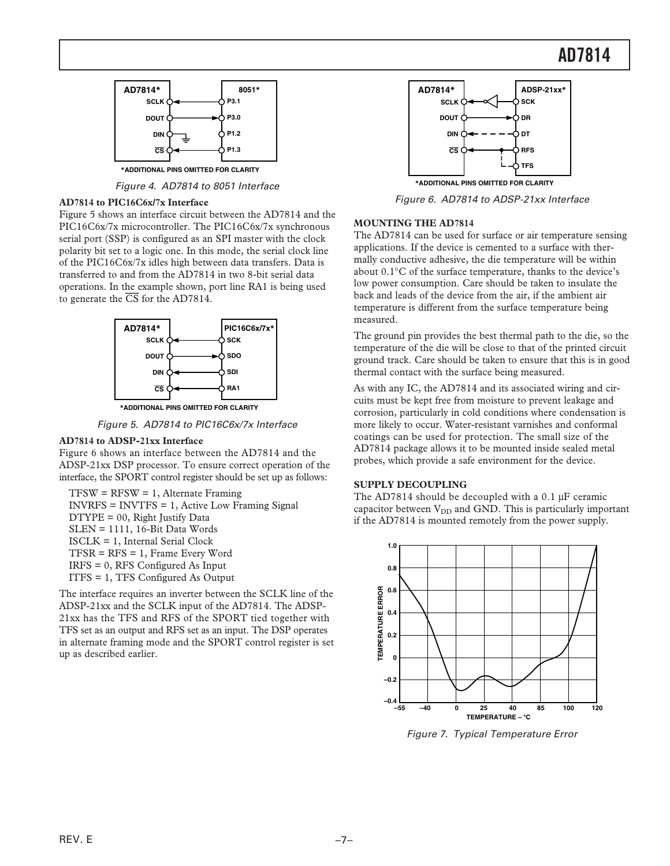### **AD7814**



Figure 4. AD7814 to 8051 Interface

#### **AD7814 to PIC16C6x/7x Interface**

Figure 5 shows an interface circuit between the AD7814 and the PIC16C6x/7x microcontroller. The PIC16C6x/7x synchronous serial port (SSP) is configured as an SPI master with the clock polarity bit set to a logic one. In this mode, the serial clock line of the PIC16C6x/7x idles high between data transfers. Data is transferred to and from the AD7814 in two 8-bit serial data operations. In the example shown, port line RA1 is being used to generate the *CS* for the AD7814.



**\*ADDITIONAL PINS OMITTED FOR CLARITY**

Figure 5. AD7814 to PIC16C6x/7x Interface

#### **AD7814 to ADSP-21xx Interface**

Figure 6 shows an interface between the AD7814 and the ADSP-21xx DSP processor. To ensure correct operation of the interface, the SPORT control register should be set up as follows:

 $TFSW = RFSW = 1$ , Alternate Framing INVRFS = INVTFS = 1, Active Low Framing Signal DTYPE = 00, Right Justify Data SLEN = 1111, 16-Bit Data Words ISCLK = 1, Internal Serial Clock TFSR = RFS = 1, Frame Every Word IRFS = 0, RFS Configured As Input ITFS = 1, TFS Configured As Output

The interface requires an inverter between the SCLK line of the ADSP-21xx and the SCLK input of the AD7814. The ADSP-21xx has the TFS and RFS of the SPORT tied together with TFS set as an output and RFS set as an input. The DSP operates in alternate framing mode and the SPORT control register is set up as described earlier.



Figure 6. AD7814 to ADSP-21xx Interface

#### **MOUNTING THE AD7814**

The AD7814 can be used for surface or air temperature sensing applications. If the device is cemented to a surface with thermally conductive adhesive, the die temperature will be within about 0.1°C of the surface temperature, thanks to the device's low power consumption. Care should be taken to insulate the back and leads of the device from the air, if the ambient air temperature is different from the surface temperature being measured.

The ground pin provides the best thermal path to the die, so the temperature of the die will be close to that of the printed circuit ground track. Care should be taken to ensure that this is in good thermal contact with the surface being measured.

As with any IC, the AD7814 and its associated wiring and circuits must be kept free from moisture to prevent leakage and corrosion, particularly in cold conditions where condensation is more likely to occur. Water-resistant varnishes and conformal coatings can be used for protection. The small size of the AD7814 package allows it to be mounted inside sealed metal probes, which provide a safe environment for the device.

#### **SUPPLY DECOUPLING**

The AD7814 should be decoupled with a 0.1 µF ceramic capacitor between  $V_{DD}$  and GND. This is particularly important if the AD7814 is mounted remotely from the power supply.



Figure 7. Typical Temperature Error